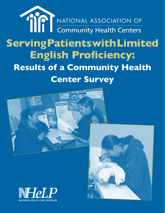# **Serving Patients with Limited English Proficiency: Results of a Community Health Center Survey**  NATIONAL ASSOCIATION OF **Community Health Centers**





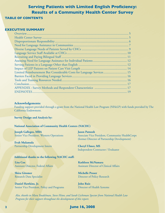#### **EXECUTIVE SUMMARY**

| Limited Reimbursement But Considerable Costs for Language Services 15 |  |
|-----------------------------------------------------------------------|--|
|                                                                       |  |
|                                                                       |  |
|                                                                       |  |
|                                                                       |  |
| ENDNOTES.                                                             |  |
|                                                                       |  |

#### **Acknowledgements:**

Funding support provided through a grant from the National Health Law Program (NHeLP) with funds provided by The California Endowment.

**Survey Design and Analysis by:** 

#### **National Association of Community Health Centers (NACHC)**

**Joseph Gallegos, MBA** Senior Vice President, Western Operations

**Evah Mulamula** Partnership Development Intern **Jason Patnosh** Associate Vice President, Community HealthCorps (former Director of Partnership Development)

**Cheryl Ulmer, MS** Independent Contractor / Evaluator

#### **Additional thanks to the following NACHC staff:**

**Lisa Cox** Assistant Director, Federal Affairs

**Shira Gitomer** Research Data Specialist

**Daniel Hawkins, Jr.** Senior Vice President, Policy and Programs **Kathleen McNamara** Assistant Director of Clinical Affairs

**Michelle Proser** Director of Policy Research

**John Ruiz** Director of Health Systems

*Also, thanks to Mara Youdelman, Steve Hitov, and Sarah Lichtman Spector from National Health Law Program for their support throughout the development of this report.*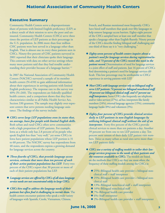#### **Executive Summary**

Community Health Centers serve a disproportionate share of persons with limited English proficiency (LEP) as a direct result of their mission to serve the poor and uninsured. Community Health Centers (CHCs) serve three times the portion of LEP patients as their percentage in the U.S. population. In 2006 more than four million CHC patients were best served in a language other than English. That is almost one in every three patients seen in CHCs. Ninety-five percent of CHC patients surveyed in 2001 reported that their clinicians spoke their language. This contrasts with data on other service settings where many more patients said that they had trouble understanding their provider because of a language barrier.<sup>1,2</sup>

In 2007 the National Association of Community Health Centers (NACHC) surveyed a sample of its member health centers (N=650) to gain additional information about their experiences in serving patients with limited English proficiency. The response rate to the survey was 40% (N=260). The respondents are federally qualified health centers, and a comparison shows that they have characteristics similar to all Public Health Service Act, Section 330 grantees. The sample may slightly over-represent centers that serve persons needing language assistance. The findings of the survey include:

- u *CHCs serve large LEP populations even in states that, on average, have few people with limited English skills.* Both urban and rural CHCs often serve communities with a high proportion of LEP patients. For example, Iowa as a whole only has 2.8 percent of its people who speak English less than "very well," yet some CHCs in Iowa have patient populations whose LEP portion is 31 to 60 percent. The NACHC survey has respondents from 48 states, and the respondents express a growing demand for language services across the country.
- u *Three-fourths of CHCs, that provide language access services, estimate that more than ten percent of each of their active patient populations has LEP.* Forty-two percent of the CHCs report that 30 percent or more of each of their patient populations has LEP.
- u *Language services are offered by CHCs of all sizes; language service needs are not concentrated solely in large CHCs.*
- ◆ *CHCs hire staff to address the language needs of their patients but often find it challenging to recruit them.* The health centers encounter patients who speak a wide variety of languages with Spanish, Creole, Vietnamese, Chinese,

French, and Russian mentioned most frequently. CHCs have hired staff members that speak over fifty languages to help remove language access barriers. Eighty-eight percent of the CHCs sampled have at least one staff member that speaks a language other than English fluently. Ninety percent of the CHCs describe finding bilingual staff challenging and one-third of these say it is "very challenging."

- ◆ *Eighty-seven percent of health centers inquire about a patient's need for language services during registration/intake, and 73 percent of the CHCs record this need in the patient record.* Determination of need for language services is a joint effort of staff and patients. Just 16 percent of CHCs find determining a patient's need for language services difficult. This low percentage may be attributable to CHCs' experience in serving patients with LEP.
- ◆ *Most CHCs with language services rely on bilingual staff to serve LEP patients: 74 percent use bilingual nonclinical staff, 59 percent use bilingual clinical staff, and 47 percent use staff interpreters.* Some CHCs also frequently use telephonic and/or video services (27%), ad hoc interpreters like family members (24%), external language agencies (15%), community language banks (8%) and volunteers (3%).
- ◆ *Eighty-four percent of CHCs provide clinical services daily to LEP patients in non-English languages by utilizing bilingual clinical staff without the aid of an interpreter.* Forty-five percent of the CHCs provide clinical services to more than ten patients a day. Another 39 percent see from one to ten LEP patients a day. Ten percent were unsure of their daily LEP patient visit numbers. Twice as many urban as rural sites serve more than ten LEP patients daily.
- ◆ *CHCs use a variety of staffing models to tailor their language services programs to the needs of their patients and the resources available to CHCs.* The models are based on the methods that CHCs say they use most often; the frequency of these staffing models among the CHCs is:
	- $\triangle$  25%–Bilingual health care provider + bilingual nonclinical staff + staff interpreter
	- ◆ 25%–Bilingual health care provider + bilingual nonclinical staff
	- $\triangle$  13%–Bilingual nonclinical staff + staff interpreter
	- $\blacklozenge$  10%–Bilingual nonclinical staff
	- ◆ 7%–Bilingual health care provider
	- $\triangle$  6%–Staff interpreter
	- ◆ 2%–Bilingual health care provider + staff interpreter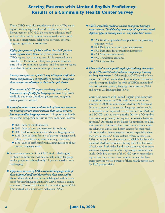These CHCs may also supplement their staff by reaching out to language banks and telephonic services. Eleven percent of CHCs do not have bilingual staff and therefore solely depend on external sources such as ad hoc interpreters, telephonic services, external language agencies or volunteers.

*Eighty-five percent of CHCs tell us that LEP patient visits require more time.* Forty-nine percent of the CHCs report that a patient care visit is extended by an extra five to 15 minutes. Thirty-one percent report an extra 16 to 30 minutes is required, and five percent report more than 30 additional minutes per patient visit.

*Twenty-nine percent of CHCs pay bilingual staff additional compensation specifically to provide interpretation services in addition to their other job duties.* 

*Five percent of CHCs report receiving direct reimbursement specifically for language services* (e.g., from Medicaid and other state/local government programs, private payers or others).

u *Lack of reimbursement and the lack of tools and resources for training are the major barriers that CHCs say they face in providing language services.* The portion of health centers that cite specific barriers as "very important" follows:

- $\triangle$  46% Lack of reimbursement
- ◆ 39% Lack of tools and resources for training
- ◆ 20% Lack of community-level data on language needs
- ◆ 12% Lack of identification of patient language needs before arrival for an appointment (e.g., database)
- $\triangle$  11% Lack of staff comfort in asking questions about primary language needs.
- ◆ Seventy-one percent of the CHCs find it challenging to obtain community level data to help design language service programs although only 12 percent rated it "very challenging."

#### u *Fifty-seven percent of CHCs assess the language skills of their bilingual staff and they rely on their own staff to do so.* When clinical or nonclinical bilingual staffers are assessed for their language ability, few CHCs require a competency test (13%) or accreditation by an outside agency (3%). They instead rely on their own evaluation (72%).

- ◆ *CHCs would like guidance on how to improve language access services. The following percentage of respondents rated different types of training tools as "very important" needs:*
	- ◆ 52% Model approaches/best practices for providing language services
	- ◆ 46% Packaged in-service training programs
	- ◆ 45% Resources for accrediting interpreters
	- $\triangle$  42% Self-assessment tools
	- $\triangle$  39% Translation assistance
	- $\triangle$  22% Case studies
- u*When asked to rate specific topics for training, the majority of CHCs (63%) rated cultural competency training as "very important."* Other subjects CHCs rated as "very important" include: methods of how to respond to patients who do not speak English (by 40% of CHCs), methods of data collection on primary language from patients (36%) and how to use language data (37%).

Caring for persons with limited English proficiency has a significant impact on CHC staff time and other resources. In 2000 the Centers for Medicare & Medicaid Services conveyed to states that language services could be included as an "optional covered service" for Medicaid and SCHIP; only 12 states and the District of Columbia have done so, primarily for payment to outside language agencies.<sup>3</sup> According to the Kaiser Commission on Medicaid and the Uninsured, low income non-citizen adults are relying on clinics and health centers for their medical home rather than emergency rooms, especially when they are uninsured.4 Since welfare reform measures in 1996, most legal immigrants are not eligible for federally matched Medicaid assistance during their first five years of residence. Both federal and state action could improve access to language services by improving reimbursement levels. Only five percent of the CHC survey respondents report that they receive direct reimbursement for language services, yet 84 percent of these health centers care for LEP patients daily.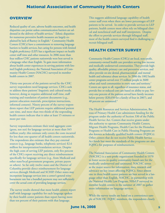## **OVERVIEW**

Reduced quality of care, adverse health outcomes, and health disparities can persist unless communication barriers are addressed in the delivery of health services.<sup>5</sup> Ethnic disparities for numerous preventive health measures are largely explained by lack of fluency in English.<sup>6</sup> Community Health Centers (CHCs) have a commitment to removing language barriers to health services, but caring for persons with limited English proficiency (LEP) has a significant impact on health center staff time and other resources. In 2006 more than four million CHC patients nationwide were best served in a language other than English. To gain more information about health center experiences in serving patients with limited English proficiency, the National Association of Community Health Centers (NACHC) surveyed its member health centers in 2007.

Thirty-one percent of the patients served by the CHC survey respondents need language services. CHCs seek to address these patients' linguistic and cultural needs; however, doing so requires additional staff time, staff training and translation of patient documents (e.g., patient education materials, prescription instructions, informed consent). Ninety percent of the survey respondents report that LEP patients require additional patient care time, and more than two-thirds of the responding health centers indicate that it takes at least 15 minutes or more per visit.

Survey respondents estimate their total aggregate costs (gross, not net) for language services at more than \$45 million yearly; this estimate only covers the costs incurred for less than one-quarter of all health centers nationwide. The respondents also estimate that they pay external sources (e.g., language banks, telephonic services) \$2.6 million for interpretation/translation services. Despite the high costs of serving LEP patients, only five percent of the CHCs report receiving any direct reimbursement specifically for language services (e.g., from Medicaid and other state/local government programs, private payers or others). So far only twelve states and the District of Columbia provide direct reimbursement for language services through Medicaid and SCHIP. Other states may incorporate language services into a center's general reimbursement rate but a bundled payment may not sufficiently cover the actual costs of providing language services.

The survey results showed that more health centers report staff with language capability for each language spoken by their health center patients than report having more than ten percent of their patients with that language.

This suggests additional language capability of health center staff even when there are lower percentages of LEP patients to be served. In order to provide services to LEP patients, health centers most often rely on bilingual clinical and nonclinical staff and staff interpreters. Despite the effort to provide services through bilingual staff, most of the health centers surveyed find it challenging to recruit bilingual staff.

## **HEALTH CENTER SURVEY**

Community Health Centers (CHCs) are local, non-profit, community-owned health care providers serving low income and medically underserved communities. They provide highquality, affordable primary care and preventive services, and often provide on-site dental, pharmaceutical, and mental health and substance abuse services. In 2006 the 1002 health center programs served over 15 million people in 3600 urban and rural communities in every state and territory.<sup>7</sup> Centers are open to all, regardless of insurance status, and provide free or reduced cost care based on ability to pay. Seventy-one percent of the patients served have family incomes below poverty (\$20,650 for a family of four in 2007), and 40 percent are uninsured.<sup>8</sup>

The Health Resources and Services Administration, Bureau of Primary Health Care administers funding for the program under the authority of Section 330 of the Public Health Service Act. Centers that receive grants under this authority to operate Community Health Centers, Migrant Health Programs, Health Care for the Homeless Programs or Health Care in Public Housing Programs are also known as federally qualified health centers (FQHCs). Other centers that do not receive Public Health Service Act funds but meet the standards of the programs are also FQHCs for purposes of reimbursement.

The National Association of Community Health Centers (NACHC) is a non-profit organization founded in 1970 to foster access to quality community-based care for the medically underserved and uninsured. NACHC serves as the major source for information, data, research and advocacy on key issues affecting FQHCs. Since almost one in three health center patients are best served in a language other than English, NACHC, in partnership with the National Health Law Program, NHeLP surveyed its member health centers in the summer of 2007 to gather more information on language services.

While the survey results are based on a convenience sample of NACHC FQHC members, the respondents closely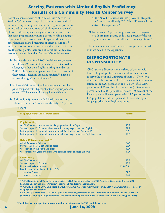resemble characteristics of all Public Health Service Act, Section 330 grantees in regard to size, urban/rural distribution, receipt of migrant health center grants, portion of uninsured patients, and type of reimbursement received. However, the sample may slightly over-represent centers that serve proportionally more patients needing language services and more patients with Hispanic ethnicity. On other language-related measures of direct provision of interpretation/translation services and receipt of migrant health center grants, there are not significant differences between the sample and all Section 330 health centers.

- ◆ Nationwide data for all 1002 health center grantees reveal that 29 percent of patients were best served in a language other than English during calendar year 2006.9 The survey sample centers have 31 percent of their patients needing language services.<sup>10</sup> This is a statistically significant difference.<sup>a</sup>
- u Nationwide 34 percent of health center patients are Hispanic compared with 36 percent of the survey respondents' patients.<sup>9,10</sup> This is a statistically significant difference.<sup>a</sup>
- ◆ Nationwide 89 percent of all health centers provide interpretation/translation directly; 92 percent

**Figure 1**

of the NACHC survey sample provides interpretation/translation directly.10,11 This difference is not statistically significant.<sup>a</sup>

 $\blacklozenge$  Nationwide 14 percent of grantees receive migrant health program grants, as do 13.6 percent of the survey respondents.<sup>12</sup> This difference is not significant.<sup>a</sup>

The representativeness of the survey sample is examined in more detail in the Appendix.

## **DISPROPORTIONATE RESPONSIBILITY**

CHCs serve a disproportionate share of persons with limited English proficiency as a result of their mission to serve the poor and uninsured (Figure 1). They serve three times the portion of LEP patients as their representation in the U.S. population (i.e., 28.9% of all CHC patients vs. 8.7% of the U.S. population). Seventy-one percent of all CHC patients fall below 100 percent of the Federal poverty line compared with 12.7 percent of the U.S population and 17.7 percent of those who speak a language other than English at home.

| Language, Poverty and Insurance Status                                           | <b>Percent</b> |
|----------------------------------------------------------------------------------|----------------|
|                                                                                  | $\%$           |
| <b>English Ability *</b>                                                         |                |
| All CHC patients best served in a language other than English                    | 28.9           |
| Survey sample CHC patients best served in a language other than English          | 31.2           |
| U.S. population 5 years and over who speak English less than "very well"         | 8.7            |
| U.S. population 5 years and over who speak a language other than English at home | 19.7           |
|                                                                                  |                |
| <b>Below 100% poverty level **</b>                                               |                |
| All CHC patients (all ages)                                                      | 70.7           |
| Survey sample CHC patients (all ages)                                            | 69.7           |
| U.S. population five years and older                                             | 12.7           |
| U.S. persons five years and older who speak another language at home             | 17.7           |
|                                                                                  |                |
| Uninsured <sup>+</sup>                                                           |                |
| All CHC patients                                                                 | 39.8           |
| <b>Survey sample CHC patients</b>                                                | 39.6           |
| U.S. non-elderly population                                                      | $16.3 - 18.3$  |
| Low income, nonnative adults in U.S. for                                         |                |
| less than 5 years                                                                | 67.0           |
| more than 5 years                                                                | 60.0           |

\* All CHC patients: 2006 Uniform Data Sytem (UDS) Table 3b; U.S. figures 2006 American Community Survey S1601: Language Spoken at Home, American Factfinder, http://factfinder.census.gov.

\*\* All CHC patients: 2006 UDS Table 4; U.S. figures 2006 American Community Survey S1603: Characteristics of People by Language Spoken at Home.

† All CHC patients: 2006 UDS Table 4; U.S. non-elderly figures from Kaiser Commision on Medicaid and the Uninsured, (Report #7553, Aug 2006); Low income, non-nature adult figures from Kaiser Commission, (Report #7651, June 2007).

 **aThe difference in proportions was examined for significance at the 95% confidence level.**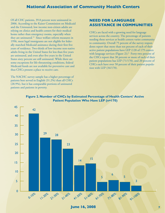Of all CHC patients, 39.8 percent were uninsured in 2006. According to the Kaiser Commission on Medicaid and the Uninsured, low income non-citizen adults are relying on clinics and health centers for their medical home rather than emergency rooms, especially when they are uninsured.<sup>13</sup> Since welfare reform measures in 1996, most legal immigrants are not eligible for federally matched Medicaid assistance during their first five years of residence. Two-thirds of low-income non-native adults living in the United States for less than five years are uninsured, and even after five years in the United States sixty percent are still uninsured. While there are some exceptions for life-threatening conditions, federal Medicaid funds are not available for preventive care and thus CHCs present a place to receive care.

The NACHC survey sample has a higher percentage of patients best served in English (31.2%) than all CHCs (28.9%), but it has comparable portions of uninsured patients and patients in poverty.

## **NEED FOR LANGUAGE ASSISTANCE IN COMMUNITIES**

CHCs are faced with a growing need for language services across the country. The percentage of patients needing these services at health centers varies community to community. Overall 75 percent of the survey respondents report that more than ten percent of each of their active patient populations have LEP (128 of 179 centers with language services (Figure 2)).<sup>b</sup> Forty-two percent of the CHCs report that 30 percent or more of each of their patient populations has LEP (71/170), and 20 percent of CHCs each have over 50 percent of their patient population with LEP (34/170).



#### **Figure 2. Number of CHCs by Estimated Percentage of Health Centers' Active Patient Population Who Have LEP (n=170)**

**Percent of Lep Population and Population at CHCs**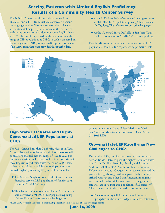The NACHC survey results include responses from 48 states, and CHCs from each state express a demand for language services. The gray scale on the U.S. Census continental map (Figure 3) indicates the portion of each state's population that does not speak English "very well."<sup>14</sup> The numbers printed on the states indicate the range of LEP populations at CHCs in each state based on the survey results. NR (not reported) is printed on a state if no CHC from that state provided this specific data.

- u Asian Pacific Health Care Venture in Los Angeles serves an "81-90%" LEP population speaking Chinese, Spanish, Tagalong, Thai, Vietnamese and other languages.
- u At the Nuestra Clinica Del Valle in San Juan, Texas the LEP population is "91-100%" Spanish-speaking.

Even in Midwestern states that have lower overall LEP populations, some CHCs report serving primarily LEP



## **High State LEP Rates and Highly Concentrated LEP Populations at CHCs**

The U.S. Census finds that California, New York, Texas, Arizona, New Mexico, Nevada and Florida have overall populations that fall into the range of 10.6 to 20.1 percent not speaking English very well. It is not surprising in these linguistically diverse states that some CHCs serve patient populations in which almost all patients have limited English proficiency (Figure 3). For example,

- u The Mission Neighborhood Health Center in San Francisco serves a LEP population of Spanish speakers in the "91-100%" range.
- $\blacklozenge$  The Charles B. Wang Community Health Center in New York City serves a "91-100%" LEP population speaking Chinese, Korean, Vietnamese and other languages.

patient populations like at United Methodist Mexican American Ministries in rural Garden City, Kansas (71-80% LEP).

## **Growing State LEP Rate Brings New Challenges to CHCs**

During the 1990s, immigration growth patterns moved beyond Border States to push the highest rates into states like North Carolina, Georgia, Nevada, and Arkansas. And from 2000 to 2005, South Carolina, Tennessee, Delaware, Arkansas,15 Georgia, and Alabama have had the greatest foreign-born growth rate particularly of newly arrived Mexican and other Latin American immigrants with limited English skills; Arkansas had the greatest rate increase in its Hispanic population of all states.<sup>16, 17</sup> CHCs are serving in these growth areas, for instance:

u The Community Clinic at St. Francis in urban Springdale on the western edge of Arkansas estimates

**bEach CHC reported the portion of its LEP population in increments of ten percentage points.**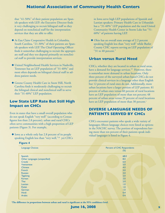that "41-50%" of their patient population are Spanish speakers with LEP; the Executive Director finds it very challenging to recruit bilingual staff so they depend on nonclinical staff for the interpretation services that they are able to offer.

- u At Eau Claire Cooperative Health in Columbia, South Carolina, "21-30%" of their patients are Spanish speakers with LEP. The Chief Operating Officer finds it somewhat challenging to recruit the appropriate staff and they too depend primarily on nonclinical staff to provide interpretation services.
- $\blacklozenge$  United Neighborhood Health Services in Nashville, Tennessee has an LEP population of "31-40%" and most often depends on bilingual clinical staff to address patient needs.
- u Greene County Health Care in Snow Hill, North Carolina finds it moderately challenging to recruit the bilingual clinical and nonclinical staff to serve their "31-40%" LEP population.

## **Low State LEP Rate But Still High Impact on CHCs**

Even in states that have a small overall population who do not speak English "very well" (according to Census figures less than 2.8 percent), urban and rural CHCs often serve communities with a high proportion of LEP patients (Figure 3). For example,

 $\blacklozenge$  Iowa as a whole only has 2.8 percent of its people speaking English less than "very well,"<sup>18</sup> yet CHCs in Iowa serve high LEP populations of Spanish and Laotian speakers: Primary Health Care in Urbandale has a "31-40%" LEP population and the rural United Community Health Center in Storm Lake has "51- 60%" of patients having LEP.

 $\blacklozenge$  Ohio has an overall state average of 2.2 percent speaking English less than "very well" while Butler County CHC reports serving an LEP population of "31 to 40 percent."

## **Urban versus Rural Need**

CHCs, whether they are located in urban or rural areas, have a demand for language services.<sup>19</sup> However, there is somewhat more demand in urban locations. Only three percent of the surveyed urban-based CHCs do not provide clinical services in a language other than English but 12 percent of rural ones do not. Additionally, more urban locations have a larger portion of LEP patients: 81 percent of urban ones versus 60 percent of rural locations have an LEP population of more than ten percent; 48 percent of urban areas versus 29 percent of rural locations have an LEP population of more than 30 percent. $\epsilon$ 

## **DIVERSE LANGUAGE NEEDS OF PATIENTS SERVED BY CHCs**

CHCs encounter patients who speak a wide variety of languages; fifteen language choices were listed as options in the NACHC survey. The portion of respondents having more than ten percent of their patients speak individual languages is listed in Figure 4.

| <b>Language Choices</b>       | Percent of CHC Respondents<br>$(\%)$ |
|-------------------------------|--------------------------------------|
| Spanish                       | 68.0                                 |
| Other Languages (unspecified) | 8.0                                  |
| Creole                        | 6.0                                  |
| <b>Vietnamese</b>             | 5.0                                  |
| <b>Chinese</b>                | 4.0                                  |
| French                        | 3.0                                  |
| <b>Russian</b>                | 3.0                                  |
| <b>Tagalong</b>               | 2.0                                  |
| Korean                        | 2.0                                  |
| Thai                          | 2.0                                  |
| Laotian                       | 1.0                                  |
| Polish                        | 1.0                                  |
| German                        | 1.0                                  |
| <b>Hindi</b>                  | 0.4                                  |
| <b>Arabic</b>                 | 0.4                                  |

**Figure 4**

**c The difference in proportions between urban and rural is significant at the 95% confidence level.**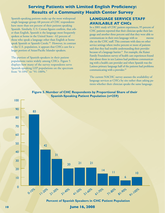Spanish-speaking patients make up the most widespread single language group; 68 percent of CHC respondents have more than ten percent of their patients speaking Spanish. Similarly, U.S. Census figures confirm, that other than English, Spanish is the language most frequently spoken at home in the United States - 62 percent of those who speak a language other than English at home speak Spanish or Spanish Creole.<sup>20</sup> However, in contrast to the U.S. population, it appears that CHCs care for a larger portion of Asian/Pacific Islander speakers.

The portion of Spanish-speakers in their patient populations varies widely among CHCs. Figure 5 displays how many of the survey respondents serve Spanish-speaking LEP populations on the spectrum from "0-10%" to "91-100%."

## **LANGUAGE SERVICE STAFF AVAILABLE AT CHCs**

In a 2001 study of CHC patient experiences, 95 percent of CHC patients reported that their clinician spoke their language and another three percent said that they were able to communicate in their own language with so meone else on the CHC staff. This contrasts with data on other service settings where twelve percent or more of patients said that they had trouble understanding their provider because of a language barrier.<sup>21</sup> For example, the Kaiser Family Foundation survey of health care experiences found that about three in ten Latinos had problems communicating with a health care provider and when Spanish was the Latinos primary language half of the patients had problems communicating with a provider.<sup>22</sup>

The current NACHC survey assesses the availability of language services at CHCs by site rather than asking patients whether their clinician speaks the same language.



**Figure 5. Number of CHC Respondents by Proportional Share of their Spanish-Speaking Patient Population (n=259)**

**Percent of Spanish Speakers in CHC Patient Population**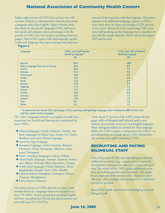Eighty-eight percent of CHCs have at least one staff member (clinical or administrative) that fluently speaks a language other than English. Figure 6 breaks these data down by the specific languages CHC staff members speak and compares these percentages with the percent of CHCs that have patients speaking those languages. More CHCs report staff with language capability for each language than report having more than ten

percent of their patients with that language. Thus there appears to be additional language capacity at CHCs even when there are lower percentages of LEP patients to be served. Almost all of the responding CHCs that have staff speaking another language have a member of the staff that speaks Spanish, which mirrors the largest LEP patient pool.

#### **Figure 6**

| Languages                         | <b>CHCs with Staff Member</b> | <b>CHCs with 10% of Patients</b> |
|-----------------------------------|-------------------------------|----------------------------------|
|                                   | Speaking Language *           | <b>Speaking Language</b>         |
|                                   | $(\%)$                        | $(\%)$                           |
| Spanish                           | 84.0                          | 68.0                             |
| Other Language Not List on Survey | 29.0                          | 8.0                              |
| French                            | 26.0                          | 3.0                              |
| <b>Chinese</b>                    | 15.0                          | 4.0                              |
| <b>Vietnamese</b>                 | 14.0                          | 5.0                              |
| Arabic                            | 13.0                          | 0.4                              |
| <b>Hindi</b>                      | 12.0                          | 0.4                              |
| Russian                           | 12.0                          | 3.0                              |
| <b>Tagalong</b>                   | 11.0                          | 2.0                              |
| Korean                            | 11.0                          | 2.0                              |
| Creole                            | 10.0                          | 6.0                              |
| German                            | 10.0                          | 1.0                              |
| Laotian                           | 19.0                          | 1.0                              |
| Thai                              | 8.0                           | 2.0                              |
| Polish                            | 5.0                           | 1.0                              |
|                                   |                               |                                  |

\* To determine this overall CHC percentage, CHCs reporting staff speaking a language were multiplied by 88% (CHCs with staff that speak another language)

The "other" languages written in as spoken by staff were numerous, but Somali and Hmong were mentioned by more CHC<sub>s</sub>:

- u African languages: Somali, Sudanese, Swahili, Amharic, languages of Ghana (e.g., Asante-Twi, Fanti), Bambara, and other African languages
- $\blacklozenge$  American Sign Language
- u European languages: Serbo-Croatian, Bosnian, Ukrainian, Greek, Romanian, Albanian, Lithuanian, Portuguese
- u Native American languages: Lakota, Otham
- u Asian/Pacific languages: Samoan, Japanese, Indonesian, Khmer, Hmong, Mien, Davaweno, Visayan
- ◆ South Asian languages: Hindi, Pakistani, Tamil, Bangladeshi, Punjabi, Farsi, Urdu, Hindko
- u Chinese dialects: Mandarin, Cantonese, Fukien, Trisanese, Shanghainese
- ◆ Latin America: Mixteco

The twelve percent of CHCs that do not have a staff member fluent in a language tend to be in rural areas, have "91-100%" of their population speaking English, and have non-physician clinical and administrative support staff sizes of 11-50 FTEs.

 Only about 57 percent of the CHCs assess the language skills of bilingual staff (clinical and/or non clinical) that provide services in non-English languages. When bilingual staffers are assessed for their language ability, few CHCs require a competency test  $(13\%)$ ,<sup>d</sup> or accreditation by an outside agency (3%). Instead they rely on their own staff's evaluation (72%).

## **RECRUITING AND PAYING BILINGUAL STAFF**

Only 29 percent of CHCs provide bilingual staff with additional incentives (e.g., compensation) to provide interpretation services over others in a comparable position. Two-thirds of the CHCs giving additional incentives use staff interpreters most frequently; this might be an employee of the practice who is hired in a dualrole (e.g., office manager who interprets) or a dedicated interpreter position.

Most of the health centers find it challenging to recruit bilingual staff: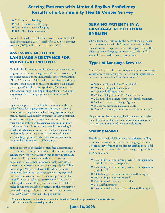- $\triangle$  31% Very challenging
- $\triangle$  32% Somewhat challenging
- $\triangle$  27% Moderately challenging
- $\triangle$  10% Not challenging at all

To find bilingual staff, CHCs use word of mouth (81%), paid advertisements (79%), staff referrals (75%), internet postings (60%), and free advertisements (38%).

## **ASSESSING NEED FOR LANGUAGE ASSISTANCE FOR INDIVIDUAL PATIENTS**

Typically, health centers inquire about a patient's need for language services during registration/intake, particularly if the center serves a more linguistically diverse population. Of the 12 percent of CHCs who answer that they do not inquire,<sup>e</sup> their patient populations are almost all English speaking (52%), all Spanish speaking (3%), or equally split between English and Spanish speakers (19%) aiding easy recognition of language needs without a specific inquiry.

Eighty-seven percent of the health centers inquire about a patient's need for language services at intake, but only 73 percent record the patient's preferred language within their medical record. Additionally, 60 percent of CHCs maintain a database on the primary languages patients speak, and three-fourths of those with a database can track this information over time. However, the survey did not distinguish whether the database includes individual patient specific needs or only tracks the portion of the population with a specific language need; each CHC may have chosen to monitor this information in different ways.

Sixteen percent of the health centers find determining a patient's need for language services difficult; this low percentage may reflect CHC experience in serving language minorities. The primary methods of staff assessment or patient self-assessment of need for help with either spoken and written language are used equally by CHCs. For example, 94 percent have staff and the patients themselves determine a patient's spoken language need during the intake assessment; only four percent prefer the staff solely to make the assessment and two percent solely by the patient. Eighty-nine percent of the CHCs make documents available to patients in their primary or preferred language. Those that do not are predominantly rural CHCs with a minimal LEP population.

## **SERVING PATIENTS IN A LANGUAGE OTHER THAN ENGLISH**

CHCs tailor their services to the needs of their patients and the resources available. To most effectively address the cultural and linguistic needs of their patients, CHCs offer a variety of language access services. Most offer a series of formal rather than ad hoc services.

## **Types of Language Services**

Centers tell us that they most frequently use the following variety of services, relying most often on bilingual clinical and nonclinical staff and staff interpreters:<sup>f</sup>

- ◆ 74% use Bilingual Non-Clinical Staff
- ◆ 59% use Bilingual Clinical Staff
- ◆ 47% use Staff Interpreters
- ◆ 27% use Telephonic and/or Video Services
- ◆ 24% use Ad hoc Interpreters (e.g., family members)
- ◆ 15% use External Language Agencies
- ◆ 8% use Community Language Banks
- ◆ 3% use Volunteers (e.g., students, AmeriCorps member)

Six percent of the responding health centers only relied on ad hoc interpreters for their occasional needs for interpretation and none relied solely on volunteers.

## **Staffing Models**

Health centers with LEP patients use different staffing combinations to provide the needed language services. The frequency of using these distinct staffing models follows, and the brackets include the average range of their LEP population:

- $\triangle$  25%–Bilingual health care provider + bilingual nonclinical staff + staff interpreter
- ◆ 25%–Bilingual health care provider + bilingual nonclinical staff
- $\triangle$  13%–Bilingual nonclinical staff + staff interpreter
- $\triangle$  10%–Bilingual nonclinical staff
- ◆ 7%–Bilingual health care provider
- $\triangle$  6%–Staff interpreter
- $\triangle$  2%–Bilingual health care provider + staff interpreter

**d For example American Translators Association, American Medical Interpreters/Translators Association. e 32 centers out of 262 answering question.**

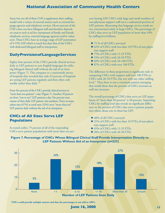Some but not all of these CHCs supplement their staffing model with a variety of external sources such as external language agencies and telephonic services. Eleven percent of the CHCs does not have bilingual staff and therefore depends on sources such as ad hoc interpreters of family and friends, telephonic services, external language agencies and/or volunteers. These CHCs have an average range of LEP penetration of 9-19% LEP which is much less than that of the CHCs with dedicated bilingual staff or interpreters.

## **Daily Provision of Language Services**

Eighty-four percent of the CHCs provide clinical services daily to LEP patients in non-English languages by utilizing bilingual clinical staff without the aid of an interpreter (Figure 7). This compares to a nationwide survey of hospitals that revealed that only 63 percent of hospitals are seeing LEP patients regularly and then often only weekly rather than daily.<sup>23</sup>

Forty-five percent of the CHCs provide clinical services to "more than ten patients" a day (Figure 7). Another 39 percent see from "one to ten" LEP patients a day. Ten percent were unsure of their daily LEP patient visit numbers. Twice as many urban sites (67%) as rural ones (33%) serve "more than ten" LEP patients daily without the aid of an interpreter.

## **CHCs of All Sizes Serve LEP Populations**

As noted earlier, 75 percent of all of the responding CHCs serve patient populations with more than ten percent having LEP. CHCs with large and small numbers of non-physician support staff serve a substantial portion of LEP patients, illustrating that language service needs are not concentrated solely in large CHCs. The percentage of CHCs that serve an LEP population of more than 10% by staffing level follows:

- ◆ 75 % of all CHCs surveyed
- ◆ 62% of CHCs with less than 10 FTEs of non physician support staff
- ◆ 75% of CHCs with 11-25 FTEs
- ◆ 55% of CHCs with 26-50 FTEs
- $\blacklozenge$  69% of CHCs with 50-100 FTEs
- ◆ 87% of CHCs with over 100 FTEs

The difference in these proportions is significant only in comparing CHCs with support staff over 100 FTEs to CHCs with 26-50 FTEs, but not with any other staffing level.9 Thus there is not a consistent pattern emerging that would show that the portion of CHCs increases as staff size increases.

The overall percentage of CHCs that serve an LEP population of "more than 30 percent" is 40 percent. Separating CHCs by staffing level also reveals no significant difference in the portion of CHCs that serve a patient population where about one in three has LEP:

- $\triangle$  40% of all CHCs surveyed
- ◆ 31% of CHCs with less than 10 FTEs of non-physician support staff
- $\triangle$  45% of CHCs with 11-25 FTEs
- $\triangle$  28% of CHCs with 26-50 FTEs



#### **Figure 7. Percentage of CHCs Whose Bilingual Clinical Staff Provide Interpretation Directly to LEP Patients Without Aid of an Interpreter (n=237)**

**f CHCs could provide multiple answers and thus the percentages to not add to 100%.**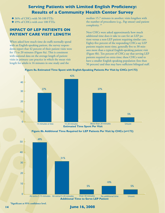- $\triangle$  36% of CHCs with 50-100 FTEs
- ◆ 49% of CHCs with over 100 FTEs

## **IMPACT OF LEP PATIENTS ON PATIENT CARE VISIT LENGTH**

When asked how much time do staffs normally spend with an English-speaking patient, the survey respondents report that 42 percent of their patient visits were for 15 to 20 minutes (Figure 8a). This is consistent with national data on the average length of patient visits in primary care practice in which the mean visit length for adults is 16 minutes in one study and the

median 15.7 minutes in another; visits lengthen with the number of procedures (e.g., Pap smear) and patient complexity.<sup>24</sup>

Next CHCs were asked approximately how much additional time does it take to care for an LEP patient versus a non-LEP patient requiring similar care. Eighty-five percent of the responding CHCs say LEP patients require more time, generally five to 30 minutes more than a typical English-speaking patient visit (Figure 8b). Ten percent of CHCs say that serving LEP patients required no extra time; these CHCs tend to have a smaller English speaking population (less than 50 percent) and thus may have sufficient bilingual staff.



**Figure 8a. Estimated Time Spent with English-Speaking Patients Per Visit by CHCs (n=173)**

**Figure 8b. Additional Time Required for LEP Patients Per Visit by CHCs (n=173)**



 **9Significant at 95% confidence level.**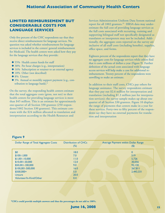## **LIMITED REIMBURSEMENT BUT CONSIDERABLE COSTS FOR LANGUAGE SERVICES**

Only five percent of the CHC respondents say that they receive direct reimbursement for language services. No question was asked whether reimbursement for language services is included in the centers' general reimbursement for Medicaid. The health centers were asked how they pay for the language services that they provide:

- ◆ 55% Health center funds for staff
- ◆ 38% Per hour charges (e.g., interpretation)
- $\triangle$  16% Subscription or retainer to an external agency
- $\triangle$  18% Other (not described)
- $\triangle$  8% Unsure
- $\triangle$  3% Annual or monthly support payment (e.g., contribution to language bank).<sup>h</sup>

On the survey, the responding health centers estimate that the total aggregate costs (gross, not net) to their health centers for providing language services is more than \$45 million. This is an estimate for approximately one-quarter of all Section 330 grantees (250 respondents/1002 Section 330 grantees). This estimate contrasts with the \$24 million allocated to translation and interpretation according to the Health Resources and

Services Administration Uniform Data System national report for all 1002 grantees.<sup>25</sup> HRSA data may underestimate the full cost of providing language services as the full costs associated with recruiting, training and supporting bilingual staff not specifically designated as translators or interpreters may not be included. Additionally, the aggregate costs reported on the survey are inclusive of all staff costs (including benefits), supplies, office space, and forms.

Eighteen percent of the respondents report that they have no aggregate costs for language services while others find that it costs millions of dollars a year (Figure 9). Further definition of the actual costs associated with language access services will help make a case for additional reimbursement. Twenty percent of the respondents were unwilling to make an estimate.

In addition to their staff costs, CHCs pay others for language assistance. The survey respondents estimate that they pay out \$2.6 million for interpretation and translation (including \$1.3 million just for interpretation services); the survey sample makes up about one quarter of all Section 330 grantees. Figure 10 displays the range of payments that centers make in a year for these services. Forty-two to fifty percent of the respondents say they have no external payments for translation and interpretation

#### **Figure 9**

| Dollar Range of Total Aggregate Costs | <b>Distribution of CHCs</b><br>$(\%)$ | Average Payment within Dollar Range<br>$\left( \text{\$}\right)$ |
|---------------------------------------|---------------------------------------|------------------------------------------------------------------|
| \$0                                   | 18.0                                  | $\mathbf{0}$                                                     |
| $$100-1,000$                          | 7.0                                   | 519                                                              |
| $$1,001-10,000$                       | 11.0                                  | 5,726                                                            |
| $$10,001 - 50,000$                    | 12.0                                  | 30,056                                                           |
| $$50,001-100,000$                     | 9.0                                   | 92,130                                                           |
| $$100,001 - 500,000$                  | 16.0                                  | 267,811                                                          |
| $$500,000+$                           | 5.0                                   | 2,443,331                                                        |
| <b>Unsure</b>                         | 20.0                                  |                                                                  |
| Volunteer/In-Kind/Other               | 0.4                                   |                                                                  |

**h CHCs could provide multiple answers and thus the percentages do not add to 100%.**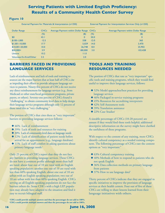| External Payment for Materials & Interpretation (n=250) |             | External Payment for Interpretation Services Only (n=250) |        |                                     |
|---------------------------------------------------------|-------------|-----------------------------------------------------------|--------|-------------------------------------|
| Dollar Range                                            | <b>CHCs</b> | Average Payment within Dollar Range CHCs                  |        | Average Payment within Dollar Range |
|                                                         | $(\%)$      | $($ \$)                                                   | $(\%)$ | $(\$)$                              |
| \$0                                                     | 42.1        | $\mathbf 0$                                               | 50.0   | $\mathbf 0$                         |
| $$100-1,000$                                            | 12.5        | 558                                                       | 12.0   | 365                                 |
| $$1,001-10,000$                                         | 17.7        | 5.029                                                     | 14.0   | 3,470                               |
| $$10,001 - 50,000$                                      | 10.0        | 26,748                                                    | 8.0    | 25,902                              |
| $$50,000+$                                              | 3.9         | 180,000                                                   | 3.0    | 103,428                             |
| <b>Unsure</b>                                           | 10.2        | 11.0                                                      |        |                                     |
| Volunteer/In-Kind/Other                                 | 3.5         | 2.0                                                       |        |                                     |

## **BARRIERS FACED IN PROVIDING LANGUAGE SERVICES**

Lack of reimbursement and lack of tools and training resources are the major barriers that at least half of CHCs cite as impeding their efforts to provide adequate language services to patients. Ninety-five percent of CHCs do not receive any direct reimbursement for language services (e.g., from Medicaid or other state/local government programs, private payers, or others). Seventy-one percent of CHCs found it "challenging" to obtain community level data to help design their language service programs although only 12 percent of these rated this as "very challenging."

The portion of CHCs that cites these as "very important" barriers to providing language services follows:

 $\triangle$  46% Lack of reimbursement

**Figure 10**

- ◆ 39% Lack of tools and resources for training
- ◆ 20% Lack of community-level data on language needs
- $\triangle$  12% Lack of identification of patient needs before arrival for an appointment (e.g., language database)
- $\triangle$  11% Lack of staff comfort in asking questions about primary language needs.<sup>i</sup>

Only 25 percent of CHCs report that they do not face any barriers in providing language services. These CHCs do not have a common profile although more than half are rural: about four out of 10 are rural with an English speaking population; another one out of 10 are rural with less than 60% speaking English; about one out of 10 are urban with an English speaking population; two out of 10 are urban with less than 60% speaking English. CHCs serving an all English-speaking population do not face the barriers others do. Some CHCs with a high LEP population may already have adapted to the situation and find it easy to recruit bilingual staff.

## **TOOLS AND TRAINING RESOURCES NEEDED**

The portion of CHCs that rate as "very important" specific tools and training programs, which they would find useful to improve their language services, follows:

- ◆ 52% Model approaches/best practices for providing language services
- ◆ 46% Packaged in-service training programs
- ◆ 45% Resources for accrediting interpreters
- ◆ 42% Self-Assessment tools
- $\triangle$  39% Translation assistance
- $\triangle$  22% Case Studies<sup>j</sup>

A sizeable percentage of CHCs (10-20 percent) are unsure if they would find these tools helpful; additional descriptive information on the survey might have clarified the usefulness of these programs.

With respect to the content of any training, more CHCs identify cultural competency as a needed training component. The following percentage of CHCs rate the content options as "very important:"

- $\triangle$  63% Cultural competency training
- ◆ 40% Methods of how to respond to patients who do not speak English
- ◆ 36% Data collection methods on primary language from patients
- $\blacklozenge$  37% How to use language datak

Thirty percent of CHCs indicate that they are engaged in specific initiatives to improve the provision of language services at their health centers. Four out of five of these CHCs are willing to share lessons learned from their language initiatives with others.

**i CHCs could provide multiple answers and thus the percentages do not add to 100%. j CHCs could provide multiple answers and thus the percentages do not add to 100%.**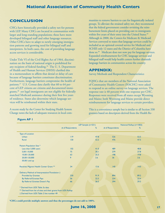## **CONCLUSION**

CHCs have historically provided a safety net for persons with LEP. Many CHCs are located in communities with larger and long-standing populations; these have more developed bilingual staff and other language resources. Other CHCs have to adapt to newly emerging immigration patterns and growing need for bilingual staff and interpreters. In both cases, the cost of providing language access services is considerable.

Under Title VI of the Civil Rights Act of 1964, discrimination on the basis of national origin is prohibited for any recipient of federal funding.<sup>26</sup> The U. S. Department of Health and Human Services (DHSS) clarified this in a memorandum to affirm that denial or delay of care because of language barriers constitutes discrimination. Furthermore, language barriers compromise the health of patients.<sup>27</sup> U.S. Census data clarify that 60 to 64 percent of LEP citizens are citizens and documented immigrants,28 yet legal immigrants are not eligible for federally matched Medicaid assistance during their first five years of residence. States also determine which language services will be reimbursed within their state.

A recent study by the Center for Studying Health System Change notes the lack of adequate resources in local com-

munities to remove barriers to care for linguistically isolated groups. To alleviate the strained safety net, they recommend that the federal government consider revisiting the reimbursement limits placed on providing care to immigrants within five years of their entry into the United States.<sup>29</sup> Although in 2000, the Centers for Medicare & Medicaid Services conveyed to states that language services could be included as an optional covered service for Medicaid and SCHIP, only 12 states and the District of Columbia have done so.<sup>30</sup> Medicare does not now pay for language services. Expanded reimbursement for CHC language services and bilingual staff would help health centers further diminish language barriers in communities across the country.

#### **APPENDIX:**

Survey Methods and Respondent Characteristics

FQHCs that are members of the National Association of Community Health Centers (NACHC) were asked to respond to an online survey on language services. The response rate is 40 percent with one response per CHC. Responses were received from all states except Wyoming and Maine; both Wyoming and Maine provide direct reimbursement for language services to certain providers.

This is a convenience sample but is similar to all Section 330 grantees based on descriptors derived from the Health Re-

|                                                                | LEP Sample (n=251) |      |                  | National Rollup (n=1002) |  |
|----------------------------------------------------------------|--------------------|------|------------------|--------------------------|--|
|                                                                | # of Respondents   | %    | # of Respondents | %                        |  |
| <b>Type of Location</b>                                        |                    |      |                  |                          |  |
| <b>Urban</b>                                                   | 119                | 47.8 | 526              | 52.5                     |  |
| <b>Rural</b>                                                   | 130                | 52.2 | 476              | 47.5                     |  |
| Patient Population Size *                                      |                    |      |                  |                          |  |
| Less than 5,000 users                                          | 102                | 41.0 | 489              | 48.8                     |  |
| $5,001 - 10,000$                                               | 75                 | 30.1 | 279              | 27.8                     |  |
| 10,001-20,000                                                  | 63                 | 25.3 | 198              | 19.8                     |  |
| 20,001-50,000                                                  | 9                  | 3.6  | 36               | 3.6                      |  |
| 50,001 and up                                                  |                    |      |                  |                          |  |
| Receives Migrant Health Center Grant **                        | 34                 | 13.6 | 140              | 14.0                     |  |
| Delivery Method of Interpretation/Translation +                |                    |      |                  |                          |  |
| <b>Provided by Grantee</b>                                     | 230                | 91.9 | 894              | 89.2                     |  |
| <b>By Referral/Grantee Pays</b>                                | 56                 | 22.5 | 234              | 23.4                     |  |
| By Referral Grantee Doesn't Pay                                | 66                 | 26.5 | 294              | 29.3                     |  |
| * Derived from UDS Table 3a data                               |                    |      |                  |                          |  |
| ** Derived from list of sites and their grants from UDS Rollup |                    |      |                  |                          |  |
| † Derived from UDS Table 2 line number 49                      |                    |      |                  |                          |  |

#### **Figure AP 1**

**k CHCs could provide multiple answers and thus the percentages do not add to 100%.**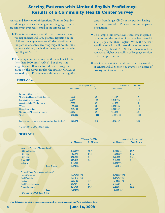sources and Services Administration's Uniform Data System although patients who might need language services are somewhat over-represented in the sample centers:

- $\blacklozenge$  There is not a significant difference between the survey respondents and 1002 grantees reporting in the Uniform Data System on rural/urban distribution, the portion of centers receiving migrant health grants or on any delivery method for interpretation/translation (Figure AP-1).<sup>1</sup>
- $\blacklozenge$  The sample under-represents the smallest CHCs (less than 5000 users) (AP-1), but there is not a significant difference for other size categories. Based on the survey results, the smallest CHCs, as assessed by FTE increments, did not differ signifi-

cantly from larger CHCs in the portion having the same degree of LEP penetration in the patient population.

- $\blacklozenge$  The sample somewhat over-represents Hispanic patients and the portion of patients best served in a language other than English. While the percentage difference is small, these differences are statistically significant (AP-2). Thus there may be a somewhat higher availability of language services in the sample centers.
- $\blacklozenge$  AP-3 shows a similar profile for the survey sample of centers and all Section 330 grantees on degree of poverty and insurance source.

#### **Figure AP 2**

|                                                         | LEP Sample (n=251) |       | National Rollup (n=1002) |       |
|---------------------------------------------------------|--------------------|-------|--------------------------|-------|
|                                                         | # of Patients      | %     | # of Patients            | %     |
| Number of Patients *                                    |                    |       |                          |       |
| Total Asian/Hawaiian/Pacific Islander                   | 133,601            | 3.2   | 493,415                  | 3.3   |
| <b>Black/African American</b>                           | 835,991            | 19.7  | 3.242.746                | 21.6  |
| American Indian/Alaska Native                           | 37,357             | 0.9   | 161,258                  | 1.1   |
| White                                                   | 1,455,555          | 34.4  | 5,131,206                | 34.1  |
| Hispanic or Latino                                      | 1,519,140          | 35.9  | 5,099,259                | 33.9  |
| Unreported / Refused to report                          | 250,361            | 5.9   | 906.239                  | 6.0   |
| <b>Total</b>                                            | 4,232,005          | 100.0 | 15,034,123               | 100.0 |
| Patients best served in a language other than English * | 1,323,473          | 31.2  | 4.349.357                | 28.9  |
| * Derived from UDS Table 3b data                        |                    |       |                          |       |

**Figure AP 3**

|                                         |               | LEP Sample (n=251) |               | National Rollup (n=1002) |  |  |
|-----------------------------------------|---------------|--------------------|---------------|--------------------------|--|--|
|                                         | # of Patients | % of Known         | # of Patients | % of Known               |  |  |
| Income as Percent of Poverty Level*     |               |                    |               |                          |  |  |
| 100% and Below                          | 2,363,792     | 69.7               | 8,204,840     | 70.7                     |  |  |
| $101 - 150%$                            | 486,971       | 14.4               | 1,694,087     | 14.6                     |  |  |
| 151-200%                                | 250,961       | 7.4                | 768,982       | 6.6                      |  |  |
| Over 200%                               | 289,012       | 8.5                | 945,222       | 8.1                      |  |  |
| <b>Unknown</b>                          | 841,269       |                    | 3,420,992     |                          |  |  |
| <b>Total Known</b>                      | 3,390,736     |                    | 11,613,131    |                          |  |  |
| Principal Third Party Insurance Source* |               |                    |               |                          |  |  |
| None/Uninsured                          | 1,675,95239.6 |                    | 5,988,53739.8 |                          |  |  |
| <b>Total Medicaid</b>                   | 1,518,43435.9 |                    | 5,275,93735.1 |                          |  |  |
| <b>Medicare</b>                         | 326,128       | 7.7                | 1,134,2517.5  |                          |  |  |
| <b>Total Public Insurance</b>           | 89,787        | 2.1                | 346,537       | 2.3                      |  |  |
| <b>Private Insurance</b>                | 621,704       | 14.7               | 2,288,861     | 15.2                     |  |  |
| <b>Total</b>                            | 4,232,005     |                    | 15,034,123    |                          |  |  |
| * Derived from UDS Table 4 data         |               |                    |               |                          |  |  |

**l The difference in proportions was examined for significance at the 95% confidence level.**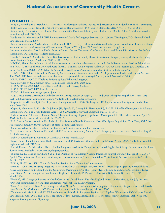#### **ENDNOTES**

1 Roby D, Rosenbaum S, Hawkins D, Zuvekas A. Exploring Healthcare Quality and Effectiveness at Federally-Funded Community Health Centers: Results from the Patient Evaluation Report System (1993-2001). Bethesda, MD: NACHC, March 2003.

2 Kaiser Family Foundation. Race, Health Care and the 2004 Elections: Ethnicity and Health Care, October 2004. Available at www.kff. org/minorityhealth/7187.cfm.

<sup>3</sup>Youdelman M. Medicaid and SCHIP Reimbursement Models for Language Services. 2007 Update. Washington, DC: National Health Law Program, March 2007.

4 Kaiser Commission on Medicaid and the Uninsured (KCMU). Karyn Schwartz and Samantha Artiga, Access to Health Insurance Coverage and Care for Low-Income Non-Citizen Adults. (Report #7651), June 2007. Available at www.kff.org/kcmu.

5 Institute of Medicine, Board on Health Sciences Policy. Unequal Treatment: Confronting Racial and Ethnic Disparities in Health Care. Washington, DC: National Academy Press, 2003.

6 Fiscella K, Franks P, Doescher MP, Saver BG. Disparities in Health Care by Race, Ethnicity, and Language among the Insured: Findings from a National Sample. Med Care. 2002 Jan;40(1):52-9.

7 NACHC, About Health Centers. Available at www.nachc.com/about/aboutcenters.asp and Health Resources and Services Administration (HRSA), Bureau of Primary Health Care (BPHC). National Rollup Report, Calendar Year 2006 Data, Section 330 Grantees Uniform Data System (UDS). UDS Table 3b Patients by Race/Ethnicity/Language. Available at http://bphc.hrsa.gov/uds.

8 HRSA, BPHC. 2006 UDS Table 4: Patients by Socioeconomic Characteris tics, and U.S. Department of Health and Human Services. The 2007 HHS Poverty Guidelines. Available at http://aspe.os.dhhs.gov/poverty/07poverty.shtml Accessed 3/16/08.

9 HRSA, BPHC. 2006 UDS Table 3b Patients by Race/Ethnicity/Language.

<sup>10</sup>Data provided by Shira Gitmer, NACHC using site specific 2006 UDS data.

11HRSA, BPHC. 2006 UDS Table 2 Services Offered and Delivery Method.

12HRSA, BPHC. 2006 UDS List of Grantees.

<sup>13</sup>KCMU. Schwartz and Artiga, op.cit., June 2007.

14U.S. Census Bureau. American Factfinder, People M1603. Percent of People 5 Years and Over Who speak English Less Than "Very Well" 2006 American Community Survey. Available at http://factfinder.census.gov.

<sup>15</sup>Capps R, Fix ME, Passel JS. The Dispersal of Immigrants in the 1990s. Washington, DC: Urban Institute Immigration Studies Program, Nov 2002.

<sup>16</sup>Capps R, Henderson E, Kasarda JD, Johnson JH, Appold SJ, Croney DL, Hernandez DJ, Fix ME. A Profile of Immigrants in Arkansas. Washington, DC: The Urban Institute, April 3, 2007. Available at www.urban.org/url.cfm?ID=411441.

<sup>17</sup>Urban Institute. Arkansas is Home to Nation's Fastest-Growing Hispanic Population. Washington, DC: The Urban Institute, April 3, 2007. Available at www.urban.org/url.cfm?ID=901061.

18U.S. Census Bureau. American Factfinder. R 1603. Percent of People 5 Years and Over Who Speak English Less Than "Very Well," 2006 American Community Survey. Available at http://factfinder.census.gov.

<sup>19</sup>Suburban values have been combined with urban and frontier with rural for this analysis.

20U.S. Census Bureau. American Factfinder. 2005 American Community Survey S1601: Language Spoken at Home. Available at http:// factfinder.census.gov.

21Roby D, Rosenbaum S, Hawkins D, Zuvekas A. op. cit., March 2003.

<sup>22</sup>Kaiser Family Foundation. Race, Health Care and the 2004 Elections: Ethnicity and Health Care, October 2004. Available at www.kff. org/minorityhealth/7187.cfm.

<sup>23</sup>Health Research & Educational Trust. Hospital Language Services for Patients with Limited English Proficiency: Results from a National Survey, 2006. Available at www.hret.org/languageservices.

<sup>24</sup>Blumenthal D, Causino N, Chang Y et al. The Duration of Ambulatory Visits to Physicians. Journal of Family Practice 48(4):264-77, April 1999; Tai-Seale M, McGuire TG, Zhang W. Time Allocation in Primary Care Office Visits. Health Services Research 42(5):1871- 94, Oct 2007.

25HRSA, BPHC. 2006 UDS Table 8B: Enabling Services line 8 Translation/Interpretation.

<sup>26</sup>Perkins J, JD, MPH. Ensuring Linguistic Access in Health Care Settings: An Overview of Current Legal Rights and Responsibilities. Kaiser Commission on Medicaid and the Uninsured. Washington, DC: The Henry J. Kaiser Family Foundation, August 2003; Leifer J and Glomb M. Providing Services to Limited English Proficient (LEP) Patients. Information Bulletin #4. Bethesda, MD: NACHC, March 2004.

<sup>27</sup>Flores G, MD. Language Barriers to Health Care in the United States. The New England Journal of Medicine, 355:3, July 20, 2006. <sup>28</sup>Personal communication from Mara Youdelman, National Health Law Program.

29Shaiti AB, Hurley RE, Katz A. Stretching the Safety Net to Serve Undocumented Immigrants: Community Responses to Health Needs. Issue Brief #104. Washington, DC: Center for Studying Health System Change, February 2006.

30Youdelman M. Medicaid and SCHIP Reimbursement Models for Language Services. 2007 Update. Washington, DC: National Health Law Program. April 2007. The 12 states are Hawaii, Idaho, Kansas, Maine, Minnesota, Montana, New Hampshire, Utah, Vermont, Virginia, Washington, and Wyoming.